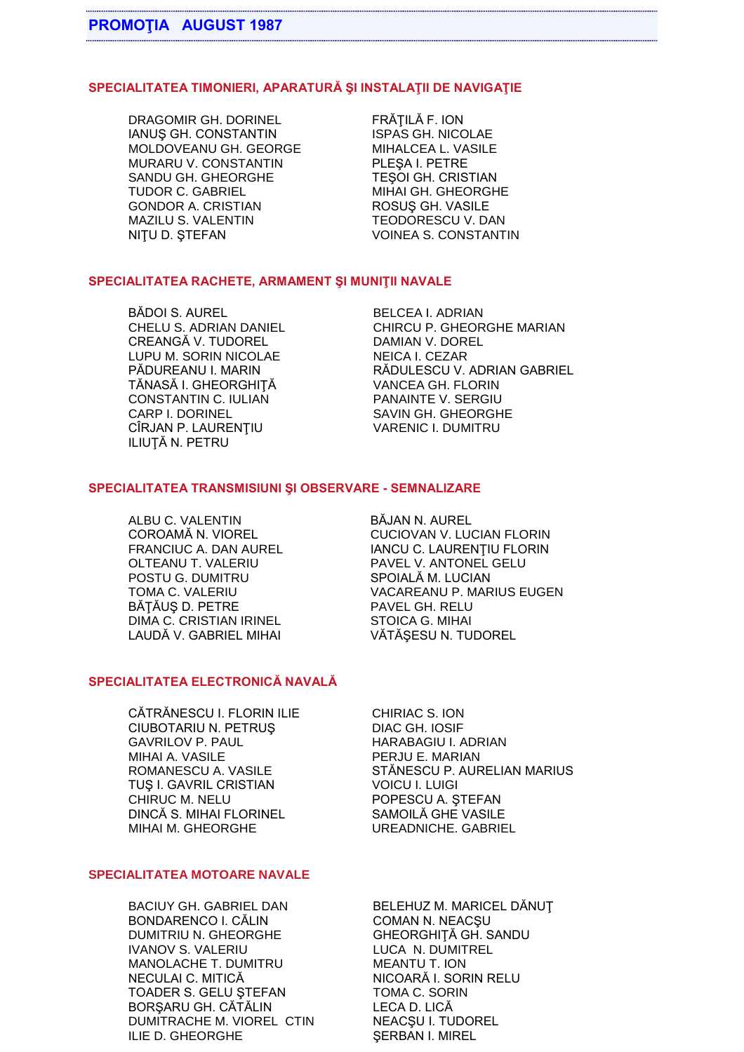## **SPECIALITATEA TIMONIERI, APARATURĂ ŞI INSTALAŢII DE NAVIGAŢIE**

DRAGOMIR GH. DORINEL FRĂȚILĂ F. ION IANUS GH. CONSTANTIN ISPAS GH. NICOLAE MOLDOVEANU GH. GEORGE MIHALCEA L. VASILE MURARU V. CONSTANTIN SANDU GH. GHEORGHE TEŞOI GH. CRISTIAN TUDOR C. GABRIEL MIHAI GH. GHEORGHE GONDOR A. CRISTIAN MAZILU S. VALENTIAN TEODORESCU V. DAN MAZILU S. VALENTIN TEODORESCU V. DAN NIȚU D. ȘTEFAN VOINEA S. CONSTANTIN

## **SPECIALITATEA RACHETE, ARMAMENT ŞI MUNIŢII NAVALE**

BĂDOI S. AUREL BELCEA I. ADRIAN CREANGĂ V. TUDOREL DAMIAN V. DOREL LUPU M. SORIN NICOLAE NEICA I. CEZAR TĂNASĂ I. GHEORGHIȚĂ VANCEA GH. FLORIN<br>CONSTANTIN C. IULIAN PANAINTE V. SERGIU CONSTANTIN C. IULIAN CARP I. DORINEL SAVIN GH. GHEORGHE CÎRJAN P. LAURENŢIU VARENIC I. DUMITRU ILIUŢĂ N. PETRU

CHELU S. ADRIAN DANIEL CHIRCU P. GHEORGHE MARIAN PĂDUREANU I. MARIN RĂDULESCU V. ADRIAN GABRIEL

#### **SPECIALITATEA TRANSMISIUNI ŞI OBSERVARE - SEMNALIZARE**

ALBU C. VALENTIN BĂJAN N. AUREL OLTEANU T. VALERIU PAVEL V. ANTONEL GELU POSTU G. DUMITRU SPOIALĂ M. LUCIAN BĂTĂUS D. PETRE PAVEL GH. RELU DIMA C. CRISTIAN IRINEL STOICA G. MIHAI LAUDĂ V. GABRIEL MIHAI VĂTĂŞESU N. TUDOREL

COROAMĂ N. VIOREL CUCIOVAN V. LUCIAN FLORIN FRANCIUC A. DAN AUREL IANCU C. LAURENȚIU FLORIN TOMA C. VALERIU VACAREANU P. MARIUS EUGEN

## **SPECIALITATEA ELECTRONICĂ NAVALĂ**

CĂTRĂNESCU I. FLORIN ILIE CHIRIAC S. ION CIUBOTARIU N. PETRUS DIAC GH. IOSIF GAVRILOV P. PAUL HARABAGIU I. ADRIAN MIHAI A. VASILE PERJU E. MARIAN TUŞ I. GAVRIL CRISTIAN VOICU I. LUIGI CHIRUC M. NELU POPESCU A. ȘTEFAN DINCĂ S. MIHAI FLORINEL SAMOILĂ GHE VASILE MIHAI M. GHEORGHE UREADNICHE. GABRIEL

ROMANESCU A. VASILE STĂNESCU P. AURELIAN MARIUS

#### **SPECIALITATEA MOTOARE NAVALE**

BACIUY GH. GABRIEL DAN BELEHUZ M. MARICEL DĂNUȚ BONDARENCO I. CĂLIN COMAN N. NEACȘU DUMITRIU N. GHEORGHE GHEORGHIŢĂ GH. SANDU IVANOV S. VALERIU LUCA N. DUMITREL MANOLACHE T. DUMITRU MEANTU T. ION NECULAI C. MITICĂ NICOARĂ I. SORIN RELU TOADER S. GELU STEFAN TOMA C. SORIN BORŞARU GH. CĂTĂLIN LECA D. LICĂ DUMITRACHE M. VIOREL CTIN NEACSU I. TUDOREL ILIE D. GHEORGHE SERBAN I. MIREL